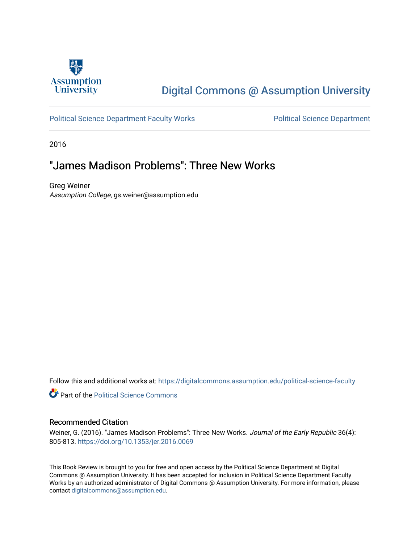

# [Digital Commons @ Assumption University](https://digitalcommons.assumption.edu/)

### [Political Science Department Faculty Works](https://digitalcommons.assumption.edu/political-science-faculty) **Political Science Department**

2016

## "James Madison Problems": Three New Works

Greg Weiner Assumption College, gs.weiner@assumption.edu

Follow this and additional works at: [https://digitalcommons.assumption.edu/political-science-faculty](https://digitalcommons.assumption.edu/political-science-faculty?utm_source=digitalcommons.assumption.edu%2Fpolitical-science-faculty%2F74&utm_medium=PDF&utm_campaign=PDFCoverPages)

**Part of the Political Science Commons** 

#### Recommended Citation

Weiner, G. (2016). "James Madison Problems": Three New Works. Journal of the Early Republic 36(4): 805-813. <https://doi.org/10.1353/jer.2016.0069>

This Book Review is brought to you for free and open access by the Political Science Department at Digital Commons @ Assumption University. It has been accepted for inclusion in Political Science Department Faculty Works by an authorized administrator of Digital Commons @ Assumption University. For more information, please contact [digitalcommons@assumption.edu.](mailto:digitalcommons@assumption.edu)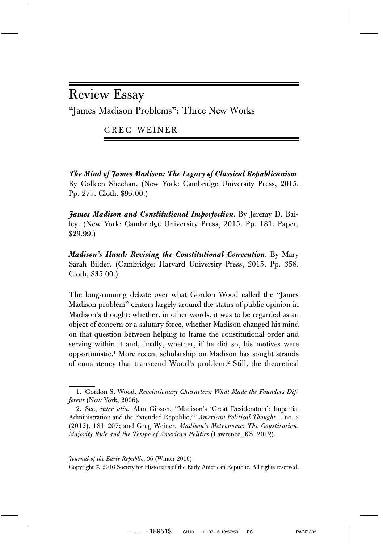## Review Essay "James Madison Problems": Three New Works

GREG WEINER

*The Mind of James Madison: The Legacy of Classical Republicanism*. By Colleen Sheehan. (New York: Cambridge University Press, 2015. Pp. 275. Cloth, \$95.00.)

*James Madison and Constitutional Imperfection*. By Jeremy D. Bailey. (New York: Cambridge University Press, 2015. Pp. 181. Paper, \$29.99.)

*Madison's Hand: Revising the Constitutional Convention*. By Mary Sarah Bilder. (Cambridge: Harvard University Press, 2015. Pp. 358. Cloth, \$35.00.)

The long-running debate over what Gordon Wood called the "James Madison problem" centers largely around the status of public opinion in Madison's thought: whether, in other words, it was to be regarded as an object of concern or a salutary force, whether Madison changed his mind on that question between helping to frame the constitutional order and serving within it and, finally, whether, if he did so, his motives were opportunistic.1 More recent scholarship on Madison has sought strands of consistency that transcend Wood's problem.2 Still, the theoretical

*Journal of the Early Republic*, 36 (Winter 2016)

<sup>1.</sup> Gordon S. Wood, *Revolutionary Characters: What Made the Founders Different* (New York, 2006).

<sup>2.</sup> See, *inter alia,* Alan Gibson, "Madison's 'Great Desideratum': Impartial Administration and the Extended Republic,' " *American Political Thought* 1, no. 2 (2012), 181–207; and Greg Weiner, *Madison's Metronome: The Constitution, Majority Rule and the Tempo of American Politics* (Lawrence, KS, 2012).

Copyright © 2016 Society for Historians of the Early American Republic. All rights reserved.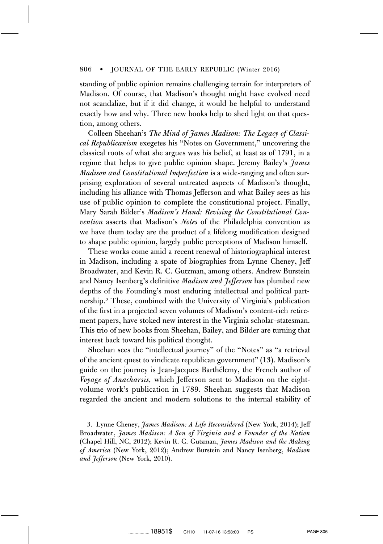standing of public opinion remains challenging terrain for interpreters of Madison. Of course, that Madison's thought might have evolved need not scandalize, but if it did change, it would be helpful to understand exactly how and why. Three new books help to shed light on that question, among others.

Colleen Sheehan's *The Mind of James Madison: The Legacy of Classical Republicanism* exegetes his "Notes on Government," uncovering the classical roots of what she argues was his belief, at least as of 1791, in a regime that helps to give public opinion shape. Jeremy Bailey's *James Madison and Constitutional Imperfection* is a wide-ranging and often surprising exploration of several untreated aspects of Madison's thought, including his alliance with Thomas Jefferson and what Bailey sees as his use of public opinion to complete the constitutional project. Finally, Mary Sarah Bilder's *Madison's Hand: Revising the Constitutional Convention* asserts that Madison's *Notes* of the Philadelphia convention as we have them today are the product of a lifelong modification designed to shape public opinion, largely public perceptions of Madison himself.

These works come amid a recent renewal of historiographical interest in Madison, including a spate of biographies from Lynne Cheney, Jeff Broadwater, and Kevin R. C. Gutzman, among others. Andrew Burstein and Nancy Isenberg's definitive *Madison and Jefferson* has plumbed new depths of the Founding's most enduring intellectual and political partnership.3 These, combined with the University of Virginia's publication of the first in a projected seven volumes of Madison's content-rich retirement papers, have stoked new interest in the Virginia scholar–statesman. This trio of new books from Sheehan, Bailey, and Bilder are turning that interest back toward his political thought.

Sheehan sees the "intellectual journey" of the "Notes" as "a retrieval of the ancient quest to vindicate republican government" (13). Madison's guide on the journey is Jean-Jacques Barthélemy, the French author of *Voyage of Anacharsis,* which Jefferson sent to Madison on the eightvolume work's publication in 1789. Sheehan suggests that Madison regarded the ancient and modern solutions to the internal stability of

<sup>3.</sup> Lynne Cheney, *James Madison: A Life Reconsidered* (New York, 2014); Jeff Broadwater, *James Madison: A Son of Virginia and a Founder of the Nation* (Chapel Hill, NC, 2012); Kevin R. C. Gutzman, *James Madison and the Making of America* (New York, 2012); Andrew Burstein and Nancy Isenberg, *Madison and Jefferson* (New York, 2010).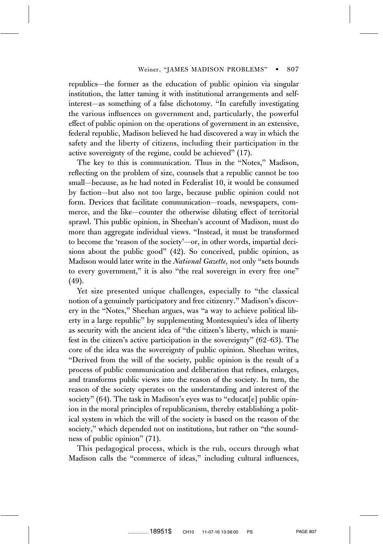republics—the former as the education of public opinion via singular institution, the latter taming it with institutional arrangements and selfinterest—as something of a false dichotomy. "In carefully investigating the various influences on government and, particularly, the powerful effect of public opinion on the operations of government in an extensive, federal republic, Madison believed he had discovered a way in which the safety and the liberty of citizens, including their participation in the active sovereignty of the regime, could be achieved" (17).

The key to this is communication. Thus in the "Notes," Madison, reflecting on the problem of size, counsels that a republic cannot be too small—because, as he had noted in Federalist 10, it would be consumed by faction—but also not too large, because public opinion could not form. Devices that facilitate communication—roads, newspapers, commerce, and the like—counter the otherwise diluting effect of territorial sprawl. This public opinion, in Sheehan's account of Madison, must do more than aggregate individual views. "Instead, it must be transformed to become the 'reason of the society'—or, in other words, impartial decisions about the public good" (42). So conceived, public opinion, as Madison would later write in the *National Gazette,* not only "sets bounds to every government," it is also "the real sovereign in every free one" (49).

Yet size presented unique challenges, especially to "the classical notion of a genuinely participatory and free citizenry." Madison's discovery in the "Notes," Sheehan argues, was "a way to achieve political liberty in a large republic" by supplementing Montesquieu's idea of liberty as security with the ancient idea of "the citizen's liberty, which is manifest in the citizen's active participation in the sovereignty" (62–63). The core of the idea was the sovereignty of public opinion. Sheehan writes, "Derived from the will of the society, public opinion is the result of a process of public communication and deliberation that refines, enlarges, and transforms public views into the reason of the society. In turn, the reason of the society operates on the understanding and interest of the society" (64). The task in Madison's eyes was to "educat[e] public opinion in the moral principles of republicanism, thereby establishing a political system in which the will of the society is based on the reason of the society," which depended not on institutions, but rather on "the soundness of public opinion" (71).

This pedagogical process, which is the rub, occurs through what Madison calls the "commerce of ideas," including cultural influences,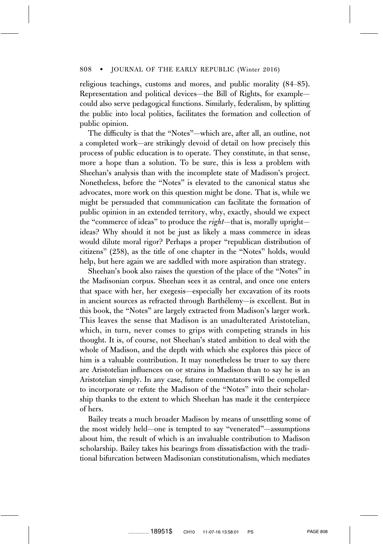religious teachings, customs and mores, and public morality (84–85). Representation and political devices—the Bill of Rights, for example could also serve pedagogical functions. Similarly, federalism, by splitting the public into local polities, facilitates the formation and collection of public opinion.

The difficulty is that the "Notes"—which are, after all, an outline, not a completed work—are strikingly devoid of detail on how precisely this process of public education is to operate. They constitute, in that sense, more a hope than a solution. To be sure, this is less a problem with Sheehan's analysis than with the incomplete state of Madison's project. Nonetheless, before the "Notes" is elevated to the canonical status she advocates, more work on this question might be done. That is, while we might be persuaded that communication can facilitate the formation of public opinion in an extended territory, why, exactly, should we expect the "commerce of ideas" to produce the *right*—that is, morally upright ideas? Why should it not be just as likely a mass commerce in ideas would dilute moral rigor? Perhaps a proper "republican distribution of citizens" (258), as the title of one chapter in the "Notes" holds, would help, but here again we are saddled with more aspiration than strategy.

Sheehan's book also raises the question of the place of the "Notes" in the Madisonian corpus. Sheehan sees it as central, and once one enters that space with her, her exegesis—especially her excavation of its roots in ancient sources as refracted through Barthélemy—is excellent. But in this book, the "Notes" are largely extracted from Madison's larger work. This leaves the sense that Madison is an unadulterated Aristotelian, which, in turn, never comes to grips with competing strands in his thought. It is, of course, not Sheehan's stated ambition to deal with the whole of Madison, and the depth with which she explores this piece of him is a valuable contribution. It may nonetheless be truer to say there are Aristotelian influences on or strains in Madison than to say he is an Aristotelian simply. In any case, future commentators will be compelled to incorporate or refute the Madison of the "Notes" into their scholarship thanks to the extent to which Sheehan has made it the centerpiece of hers.

Bailey treats a much broader Madison by means of unsettling some of the most widely held—one is tempted to say "venerated"—assumptions about him, the result of which is an invaluable contribution to Madison scholarship. Bailey takes his bearings from dissatisfaction with the traditional bifurcation between Madisonian constitutionalism, which mediates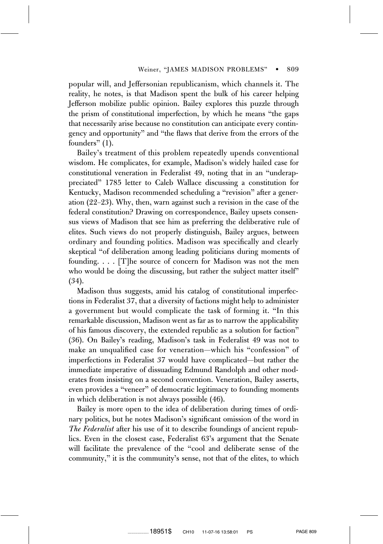popular will, and Jeffersonian republicanism, which channels it. The reality, he notes, is that Madison spent the bulk of his career helping Jefferson mobilize public opinion. Bailey explores this puzzle through the prism of constitutional imperfection, by which he means "the gaps that necessarily arise because no constitution can anticipate every contingency and opportunity" and "the flaws that derive from the errors of the founders" (1).

Bailey's treatment of this problem repeatedly upends conventional wisdom. He complicates, for example, Madison's widely hailed case for constitutional veneration in Federalist 49, noting that in an "underappreciated" 1785 letter to Caleb Wallace discussing a constitution for Kentucky, Madison recommended scheduling a "revision" after a generation (22–23). Why, then, warn against such a revision in the case of the federal constitution? Drawing on correspondence, Bailey upsets consensus views of Madison that see him as preferring the deliberative rule of elites. Such views do not properly distinguish, Bailey argues, between ordinary and founding politics. Madison was specifically and clearly skeptical "of deliberation among leading politicians during moments of founding. . . . [T]he source of concern for Madison was not the men who would be doing the discussing, but rather the subject matter itself" (34).

Madison thus suggests, amid his catalog of constitutional imperfections in Federalist 37, that a diversity of factions might help to administer a government but would complicate the task of forming it. "In this remarkable discussion, Madison went as far as to narrow the applicability of his famous discovery, the extended republic as a solution for faction" (36). On Bailey's reading, Madison's task in Federalist 49 was not to make an unqualified case for veneration—which his "confession" of imperfections in Federalist 37 would have complicated—but rather the immediate imperative of dissuading Edmund Randolph and other moderates from insisting on a second convention. Veneration, Bailey asserts, even provides a "veneer" of democratic legitimacy to founding moments in which deliberation is not always possible (46).

Bailey is more open to the idea of deliberation during times of ordinary politics, but he notes Madison's significant omission of the word in *The Federalist* after his use of it to describe foundings of ancient republics. Even in the closest case, Federalist 63's argument that the Senate will facilitate the prevalence of the "cool and deliberate sense of the community," it is the community's sense, not that of the elites, to which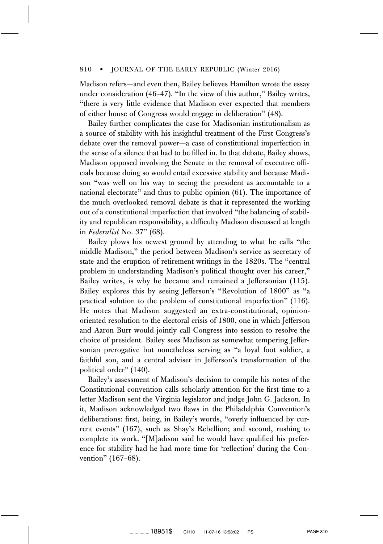Madison refers—and even then, Bailey believes Hamilton wrote the essay under consideration (46–47). "In the view of this author," Bailey writes, "there is very little evidence that Madison ever expected that members of either house of Congress would engage in deliberation" (48).

Bailey further complicates the case for Madisonian institutionalism as a source of stability with his insightful treatment of the First Congress's debate over the removal power—a case of constitutional imperfection in the sense of a silence that had to be filled in. In that debate, Bailey shows, Madison opposed involving the Senate in the removal of executive officials because doing so would entail excessive stability and because Madison "was well on his way to seeing the president as accountable to a national electorate" and thus to public opinion (61). The importance of the much overlooked removal debate is that it represented the working out of a constitutional imperfection that involved "the balancing of stability and republican responsibility, a difficulty Madison discussed at length in *Federalist* No. 37" (68).

Bailey plows his newest ground by attending to what he calls "the middle Madison," the period between Madison's service as secretary of state and the eruption of retirement writings in the 1820s. The "central problem in understanding Madison's political thought over his career," Bailey writes, is why he became and remained a Jeffersonian (115). Bailey explores this by seeing Jefferson's "Revolution of 1800" as "a practical solution to the problem of constitutional imperfection" (116). He notes that Madison suggested an extra-constitutional, opinionoriented resolution to the electoral crisis of 1800, one in which Jefferson and Aaron Burr would jointly call Congress into session to resolve the choice of president. Bailey sees Madison as somewhat tempering Jeffersonian prerogative but nonetheless serving as "a loyal foot soldier, a faithful son, and a central adviser in Jefferson's transformation of the political order" (140).

Bailey's assessment of Madison's decision to compile his notes of the Constitutional convention calls scholarly attention for the first time to a letter Madison sent the Virginia legislator and judge John G. Jackson. In it, Madison acknowledged two flaws in the Philadelphia Convention's deliberations: first, being, in Bailey's words, "overly influenced by current events" (167), such as Shay's Rebellion; and second, rushing to complete its work. "[M]adison said he would have qualified his preference for stability had he had more time for 'reflection' during the Convention" (167–68).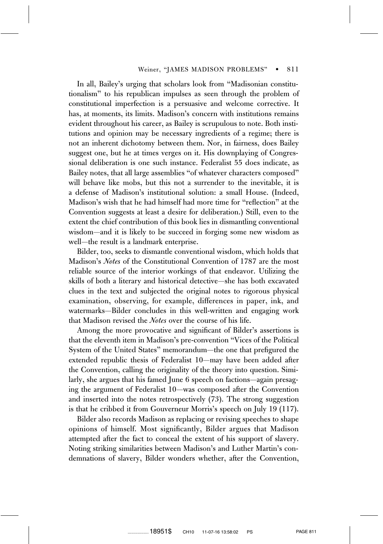In all, Bailey's urging that scholars look from "Madisonian constitutionalism" to his republican impulses as seen through the problem of constitutional imperfection is a persuasive and welcome corrective. It has, at moments, its limits. Madison's concern with institutions remains evident throughout his career, as Bailey is scrupulous to note. Both institutions and opinion may be necessary ingredients of a regime; there is not an inherent dichotomy between them. Nor, in fairness, does Bailey suggest one, but he at times verges on it. His downplaying of Congressional deliberation is one such instance. Federalist 55 does indicate, as Bailey notes, that all large assemblies "of whatever characters composed" will behave like mobs, but this not a surrender to the inevitable, it is a defense of Madison's institutional solution: a small House. (Indeed, Madison's wish that he had himself had more time for "reflection" at the Convention suggests at least a desire for deliberation.) Still, even to the extent the chief contribution of this book lies in dismantling conventional wisdom—and it is likely to be succeed in forging some new wisdom as well—the result is a landmark enterprise.

Bilder, too, seeks to dismantle conventional wisdom, which holds that Madison's *Notes* of the Constitutional Convention of 1787 are the most reliable source of the interior workings of that endeavor. Utilizing the skills of both a literary and historical detective—she has both excavated clues in the text and subjected the original notes to rigorous physical examination, observing, for example, differences in paper, ink, and watermarks—Bilder concludes in this well-written and engaging work that Madison revised the *Notes* over the course of his life.

Among the more provocative and significant of Bilder's assertions is that the eleventh item in Madison's pre-convention "Vices of the Political System of the United States" memorandum—the one that prefigured the extended republic thesis of Federalist 10—may have been added after the Convention, calling the originality of the theory into question. Similarly, she argues that his famed June 6 speech on factions—again presaging the argument of Federalist 10—was composed after the Convention and inserted into the notes retrospectively (73). The strong suggestion is that he cribbed it from Gouverneur Morris's speech on July 19 (117).

Bilder also records Madison as replacing or revising speeches to shape opinions of himself. Most significantly, Bilder argues that Madison attempted after the fact to conceal the extent of his support of slavery. Noting striking similarities between Madison's and Luther Martin's condemnations of slavery, Bilder wonders whether, after the Convention,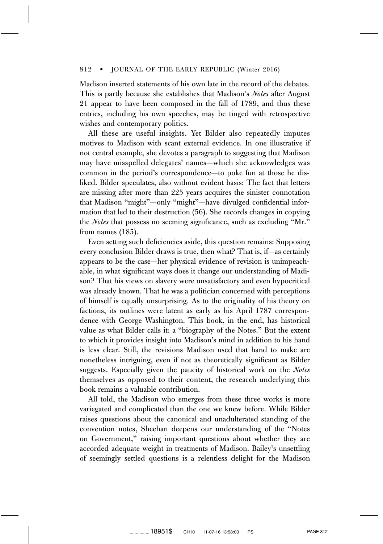Madison inserted statements of his own late in the record of the debates. This is partly because she establishes that Madison's *Notes* after August 21 appear to have been composed in the fall of 1789, and thus these entries, including his own speeches, may be tinged with retrospective wishes and contemporary politics.

All these are useful insights. Yet Bilder also repeatedly imputes motives to Madison with scant external evidence. In one illustrative if not central example, she devotes a paragraph to suggesting that Madison may have misspelled delegates' names—which she acknowledges was common in the period's correspondence—to poke fun at those he disliked. Bilder speculates, also without evident basis: The fact that letters are missing after more than 225 years acquires the sinister connotation that Madison "might"—only "might"—have divulged confidential information that led to their destruction (56). She records changes in copying the *Notes* that possess no seeming significance, such as excluding "Mr." from names (185).

Even setting such deficiencies aside, this question remains: Supposing every conclusion Bilder draws is true, then what? That is, if—as certainly appears to be the case—her physical evidence of revision is unimpeachable, in what significant ways does it change our understanding of Madison? That his views on slavery were unsatisfactory and even hypocritical was already known. That he was a politician concerned with perceptions of himself is equally unsurprising. As to the originality of his theory on factions, its outlines were latent as early as his April 1787 correspondence with George Washington. This book, in the end, has historical value as what Bilder calls it: a "biography of the Notes." But the extent to which it provides insight into Madison's mind in addition to his hand is less clear. Still, the revisions Madison used that hand to make are nonetheless intriguing, even if not as theoretically significant as Bilder suggests. Especially given the paucity of historical work on the *Notes* themselves as opposed to their content, the research underlying this book remains a valuable contribution.

All told, the Madison who emerges from these three works is more variegated and complicated than the one we knew before. While Bilder raises questions about the canonical and unadulterated standing of the convention notes, Sheehan deepens our understanding of the "Notes on Government," raising important questions about whether they are accorded adequate weight in treatments of Madison. Bailey's unsettling of seemingly settled questions is a relentless delight for the Madison